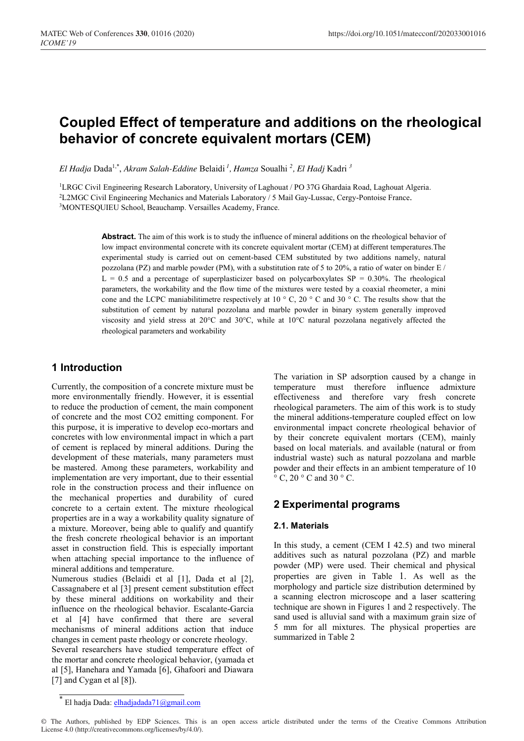# **Coupled Effect of temperature and additions on the rheological behavior of concrete equivalent mortars (CEM)**

*El Hadja* Dada1,\* , *Akram Salah-Eddine* Belaidi *<sup>1</sup> , Hamza* Soualhi *<sup>2</sup> , El Hadj* Kadri *<sup>3</sup>*

<sup>1</sup>LRGC Civil Engineering Research Laboratory, University of Laghouat / PO 37G Ghardaia Road, Laghouat Algeria. 2L2MGC Civil Engineering Mechanics and Materials Laboratory / 5 Mail Gay-Lussac, Cergy-Pontoise France. 3MONTESQUIEU School, Beauchamp. Versailles Academy, France.

> **Abstract.** The aim of this work is to study the influence of mineral additions on the rheological behavior of low impact environmental concrete with its concrete equivalent mortar (CEM) at different temperatures.The experimental study is carried out on cement-based CEM substituted by two additions namely, natural pozzolana (PZ) and marble powder (PM), with a substitution rate of 5 to 20%, a ratio of water on binder  $E /$  $L = 0.5$  and a percentage of superplasticizer based on polycarboxylates SP = 0.30%. The rheological parameters, the workability and the flow time of the mixtures were tested by a coaxial rheometer, a mini cone and the LCPC maniabilitimetre respectively at 10 ° C, 20 ° C and 30 ° C. The results show that the substitution of cement by natural pozzolana and marble powder in binary system generally improved viscosity and yield stress at 20°C and 30°C, while at 10°C natural pozzolana negatively affected the rheological parameters and workability

# **1 Introduction**

Currently, the composition of a concrete mixture must be more environmentally friendly. However, it is essential to reduce the production of cement, the main component of concrete and the most CO2 emitting component. For this purpose, it is imperative to develop eco-mortars and concretes with low environmental impact in which a part of cement is replaced by mineral additions. During the development of these materials, many parameters must be mastered. Among these parameters, workability and implementation are very important, due to their essential role in the construction process and their influence on the mechanical properties and durability of cured concrete to a certain extent. The mixture rheological properties are in a way a workability quality signature of a mixture. Moreover, being able to qualify and quantify the fresh concrete rheological behavior is an important asset in construction field. This is especially important when attaching special importance to the influence of mineral additions and temperature.

Numerous studies (Belaidi et al [1], Dada et al [2], Cassagnabere et al [3] present cement substitution effect by these mineral additions on workability and their influence on the rheological behavior. Escalante-Garcia et al [4] have confirmed that there are several mechanisms of mineral additions action that induce changes in cement paste rheology or concrete rheology.

Several researchers have studied temperature effect of the mortar and concrete rheological behavior, (yamada et al [5], Hanehara and Yamada [6], Ghafoori and Diawara [7] and Cygan et al [8]).

The variation in SP adsorption caused by a change in temperature must therefore influence admixture effectiveness and therefore vary fresh concrete rheological parameters. The aim of this work is to study the mineral additions-temperature coupled effect on low environmental impact concrete rheological behavior of by their concrete equivalent mortars (CEM), mainly based on local materials. and available (natural or from industrial waste) such as natural pozzolana and marble powder and their effects in an ambient temperature of 10  $\circ$  C, 20  $\circ$  C and 30  $\circ$  C.

# **2 Experimental programs**

# **2.1. Materials**

In this study, a cement (CEM I 42.5) and two mineral additives such as natural pozzolana (PZ) and marble powder (MP) were used. Their chemical and physical properties are given in Table 1. As well as the morphology and particle size distribution determined by a scanning electron microscope and a laser scattering technique are shown in Figures 1 and 2 respectively. The sand used is alluvial sand with a maximum grain size of 5 mm for all mixtures. The physical properties are summarized in Table 2

El hadja Dada: elhadjadada71@gmail.com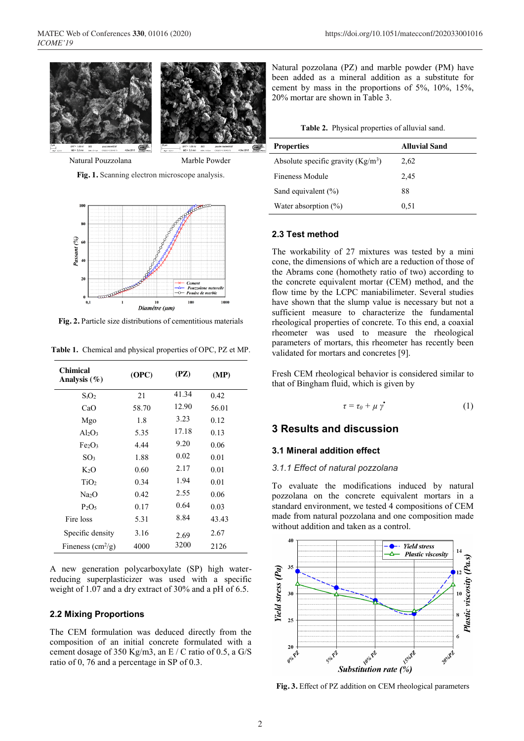

**Fig. 1.** Scanning electron microscope analysis.



**Fig. 2.** Particle size distributions of cementitious materials

| <b>Chimical</b><br>Analysis $(\%)$ | (OPC) | (PZ)  | (MP)  |
|------------------------------------|-------|-------|-------|
| $S_iO_2$                           | 21    | 41.34 | 0.42  |
| CaO                                | 58.70 | 12.90 | 56.01 |
| Mgo                                | 1.8   | 3.23  | 0.12  |
| $Al_2O_3$                          | 5.35  | 17.18 | 0.13  |
| Fe <sub>2</sub> O <sub>3</sub>     | 4.44  | 9.20  | 0.06  |
| SO <sub>3</sub>                    | 1.88  | 0.02  | 0.01  |
| K2O                                | 0.60  | 2.17  | 0.01  |
| TiO <sub>2</sub>                   | 0.34  | 1.94  | 0.01  |
| Na <sub>2</sub> O                  | 0.42  | 2.55  | 0.06  |
| $P_2O_5$                           | 0.17  | 0.64  | 0.03  |
| Fire loss                          | 5.31  | 8.84  | 43.43 |
| Specific density                   | 3.16  | 2.69  | 2.67  |
| Fineness $\text{cm}^2/\text{g}$ )  | 4000  | 3200  | 2126  |

**Table 1.** Chemical and physical properties of OPC, PZ et MP.

A new generation polycarboxylate (SP) high waterreducing superplasticizer was used with a specific weight of 1.07 and a dry extract of 30% and a pH of 6.5.

#### **2.2 Mixing Proportions**

The CEM formulation was deduced directly from the composition of an initial concrete formulated with a cement dosage of 350 Kg/m3, an E / C ratio of 0.5, a G/S ratio of 0, 76 and a percentage in SP of 0.3.

Natural pozzolana (PZ) and marble powder (PM) have been added as a mineral addition as a substitute for cement by mass in the proportions of 5%, 10%, 15%, 20% mortar are shown in Table 3.

| <b>Properties</b>                   | <b>Alluvial Sand</b> |  |  |
|-------------------------------------|----------------------|--|--|
| Absolute specific gravity $(Kg/m3)$ | 2.62                 |  |  |
| Fineness Module                     | 2.45                 |  |  |
| Sand equivalent $(\% )$             | 88                   |  |  |
| Water absorption $(\%)$             | 0.51                 |  |  |

#### **2.3 Test method**

The workability of 27 mixtures was tested by a mini cone, the dimensions of which are a reduction of those of the Abrams cone (homothety ratio of two) according to the concrete equivalent mortar (CEM) method, and the flow time by the LCPC maniabilimeter. Several studies have shown that the slump value is necessary but not a sufficient measure to characterize the fundamental rheological properties of concrete. To this end, a coaxial rheometer was used to measure the rheological parameters of mortars, this rheometer has recently been validated for mortars and concretes [9].

Fresh CEM rheological behavior is considered similar to that of Bingham fluid, which is given by

$$
\tau = \tau_0 + \mu \dot{\gamma} \tag{1}
$$

# **3 Results and discussion**

## **3.1 Mineral addition effect**

#### *3.1.1 Effect of natural pozzolana*

To evaluate the modifications induced by natural pozzolana on the concrete equivalent mortars in a standard environment, we tested 4 compositions of CEM made from natural pozzolana and one composition made without addition and taken as a control.



**Fig. 3.** Effect of PZ addition on CEM rheological parameters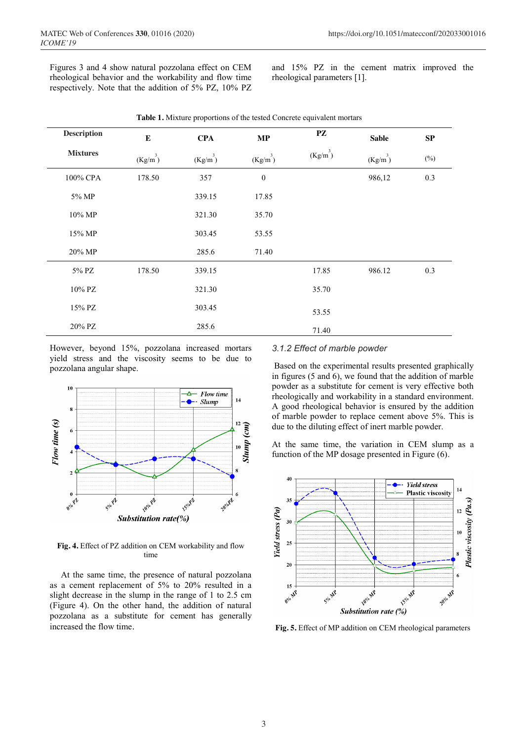Figures 3 and 4 show natural pozzolana effect on CEM rheological behavior and the workability and flow time respectively. Note that the addition of 5% PZ, 10% PZ and 15% PZ in the cement matrix improved the rheological parameters [1].

| <b>Description</b> | ${\bf E}$  | <b>CPA</b> | MP               | PZ         | <b>Sable</b> | ${\bf SP}$ |
|--------------------|------------|------------|------------------|------------|--------------|------------|
| <b>Mixtures</b>    | $(Kg/m^3)$ | $(Kg/m^3)$ | $(Kg/m^3)$       | $(Kg/m^3)$ | $(Kg/m^3)$   | $(\%)$     |
| 100% CPA           | 178.50     | 357        | $\boldsymbol{0}$ |            | 986,12       | 0.3        |
| 5% MP              |            | 339.15     | 17.85            |            |              |            |
| 10% MP             |            | 321.30     | 35.70            |            |              |            |
| 15% MP             |            | 303.45     | 53.55            |            |              |            |
| 20% MP             |            | 285.6      | 71.40            |            |              |            |
| 5% PZ              | 178.50     | 339.15     |                  | 17.85      | 986.12       | 0.3        |
| 10% PZ             |            | 321.30     |                  | 35.70      |              |            |
| 15% PZ             |            | 303.45     |                  | 53.55      |              |            |
| 20% PZ             |            | 285.6      |                  | 71.40      |              |            |

**Table 1.** Mixture proportions of the tested Concrete equivalent mortars

However, beyond 15%, pozzolana increased mortars yield stress and the viscosity seems to be due to pozzolana angular shape.



**Fig. 4.** Effect of PZ addition on CEM workability and flow time

 At the same time, the presence of natural pozzolana as a cement replacement of 5% to 20% resulted in a slight decrease in the slump in the range of 1 to 2.5 cm (Figure 4). On the other hand, the addition of natural pozzolana as a substitute for cement has generally increased the flow time.

#### *3.1.2 Effect of marble powder*

Based on the experimental results presented graphically in figures (5 and 6), we found that the addition of marble powder as a substitute for cement is very effective both rheologically and workability in a standard environment. A good rheological behavior is ensured by the addition of marble powder to replace cement above 5%. This is due to the diluting effect of inert marble powder.

At the same time, the variation in CEM slump as a function of the MP dosage presented in Figure (6).



**Fig. 5.** Effect of MP addition on CEM rheological parameters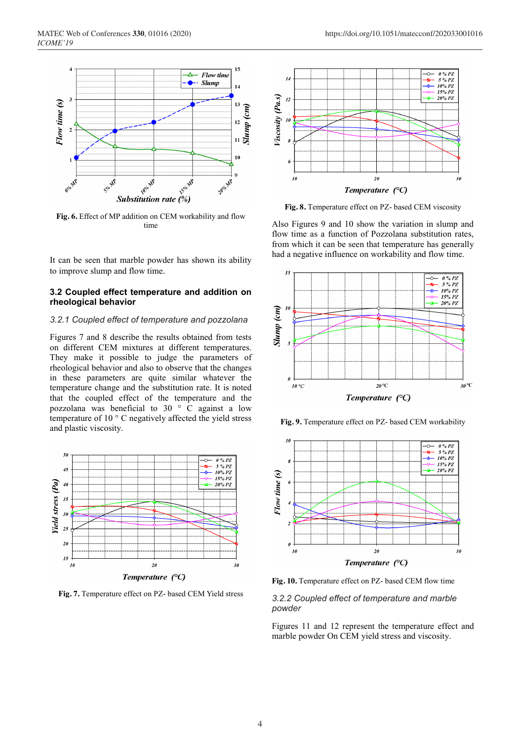

**Fig. 6.** Effect of MP addition on CEM workability and flow time

It can be seen that marble powder has shown its ability to improve slump and flow time.

#### **3.2 Coupled effect temperature and addition on rheological behavior**

## *3.2.1 Coupled effect of temperature and pozzolana*

Figures 7 and 8 describe the results obtained from tests on different CEM mixtures at different temperatures. They make it possible to judge the parameters of rheological behavior and also to observe that the changes in these parameters are quite similar whatever the temperature change and the substitution rate. It is noted that the coupled effect of the temperature and the pozzolana was beneficial to 30  $\degree$  C against a low temperature of 10 ° C negatively affected the yield stress and plastic viscosity.



**Fig. 7.** Temperature effect on PZ- based CEM Yield stress



**Fig. 8.** Temperature effect on PZ- based CEM viscosity

Also Figures 9 and 10 show the variation in slump and flow time as a function of Pozzolana substitution rates, from which it can be seen that temperature has generally had a negative influence on workability and flow time.



**Fig. 9.** Temperature effect on PZ- based CEM workability



**Fig. 10.** Temperature effect on PZ- based CEM flow time

### *3.2.2 Coupled effect of temperature and marble powder*

Figures 11 and 12 represent the temperature effect and marble powder On CEM yield stress and viscosity.